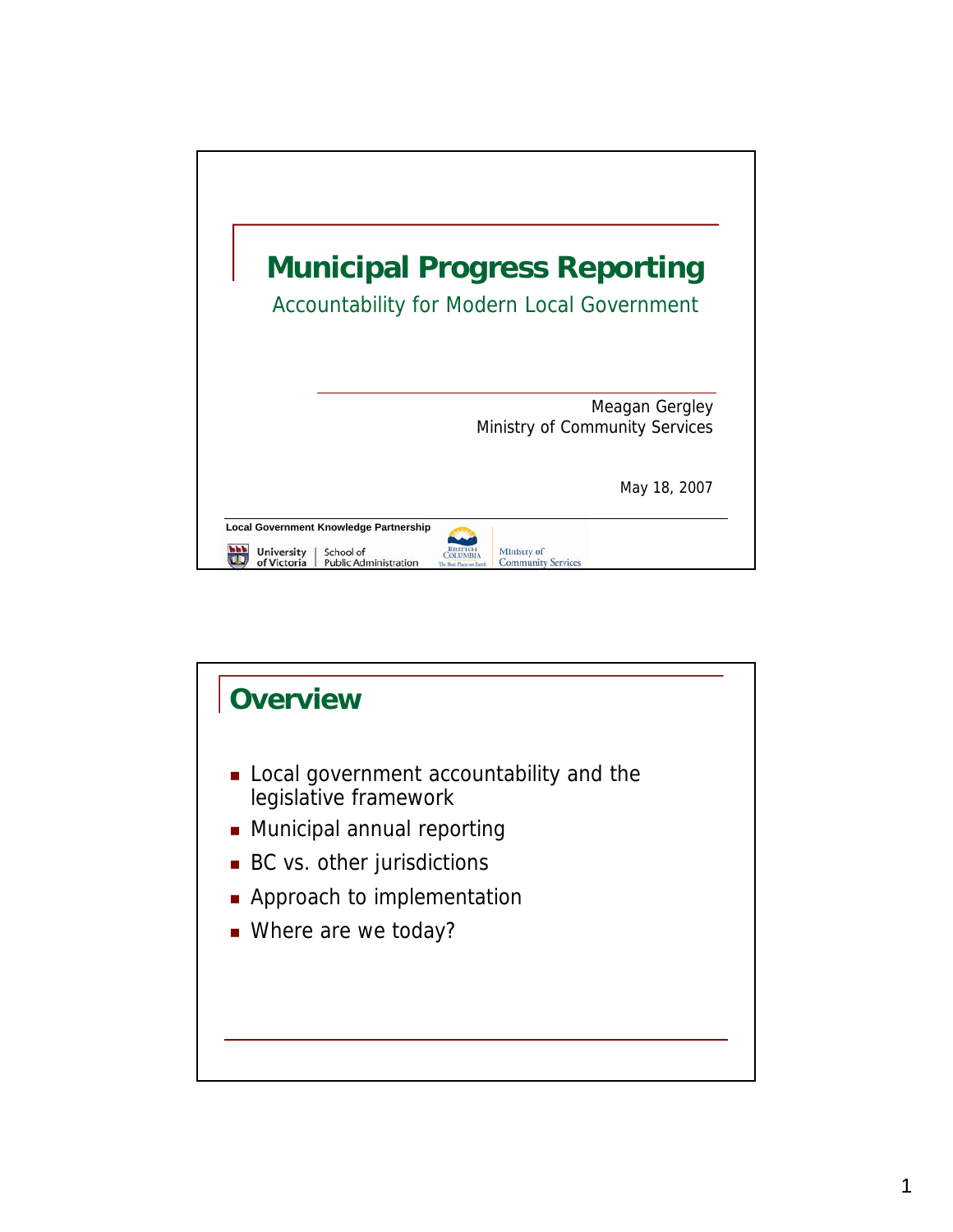

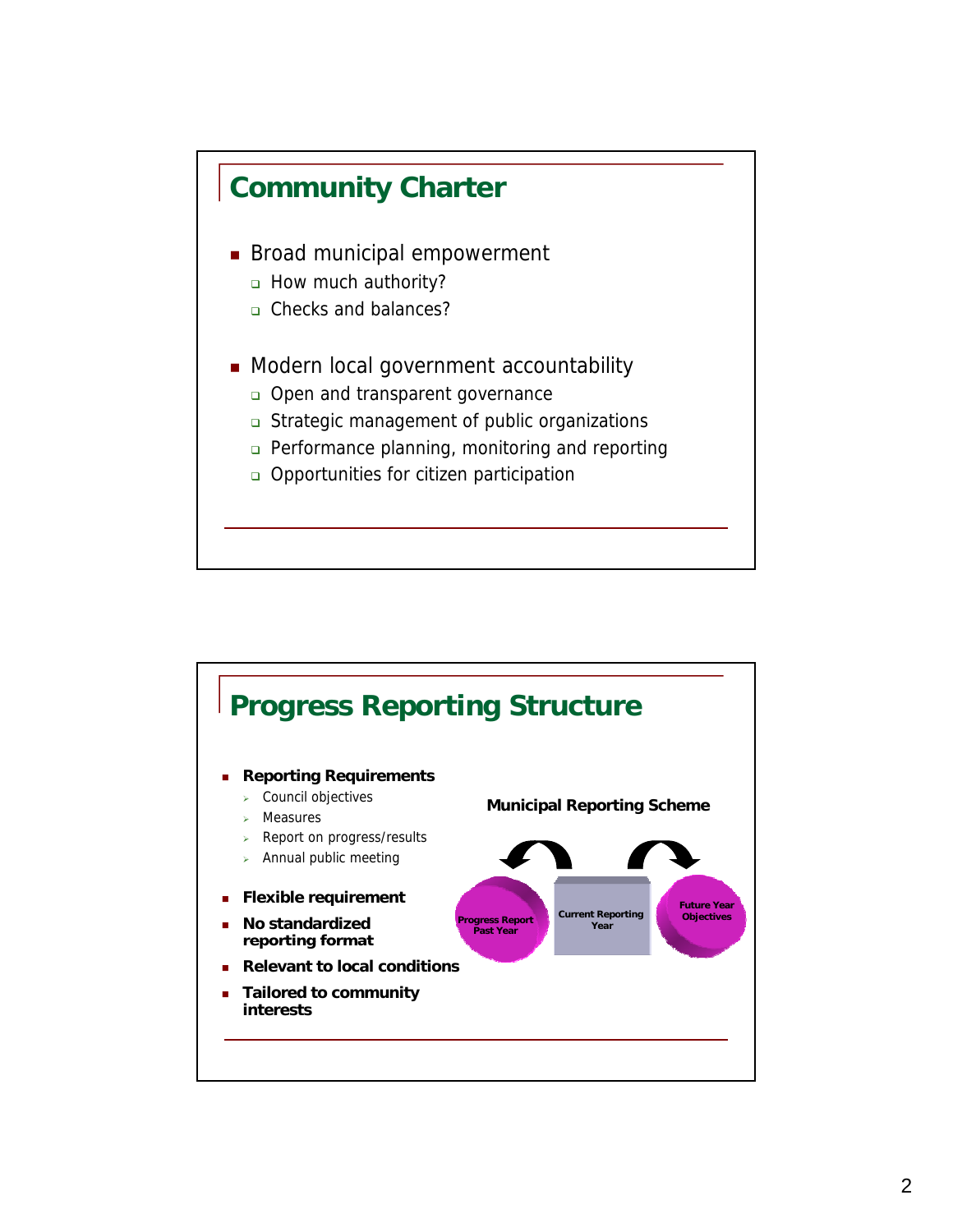

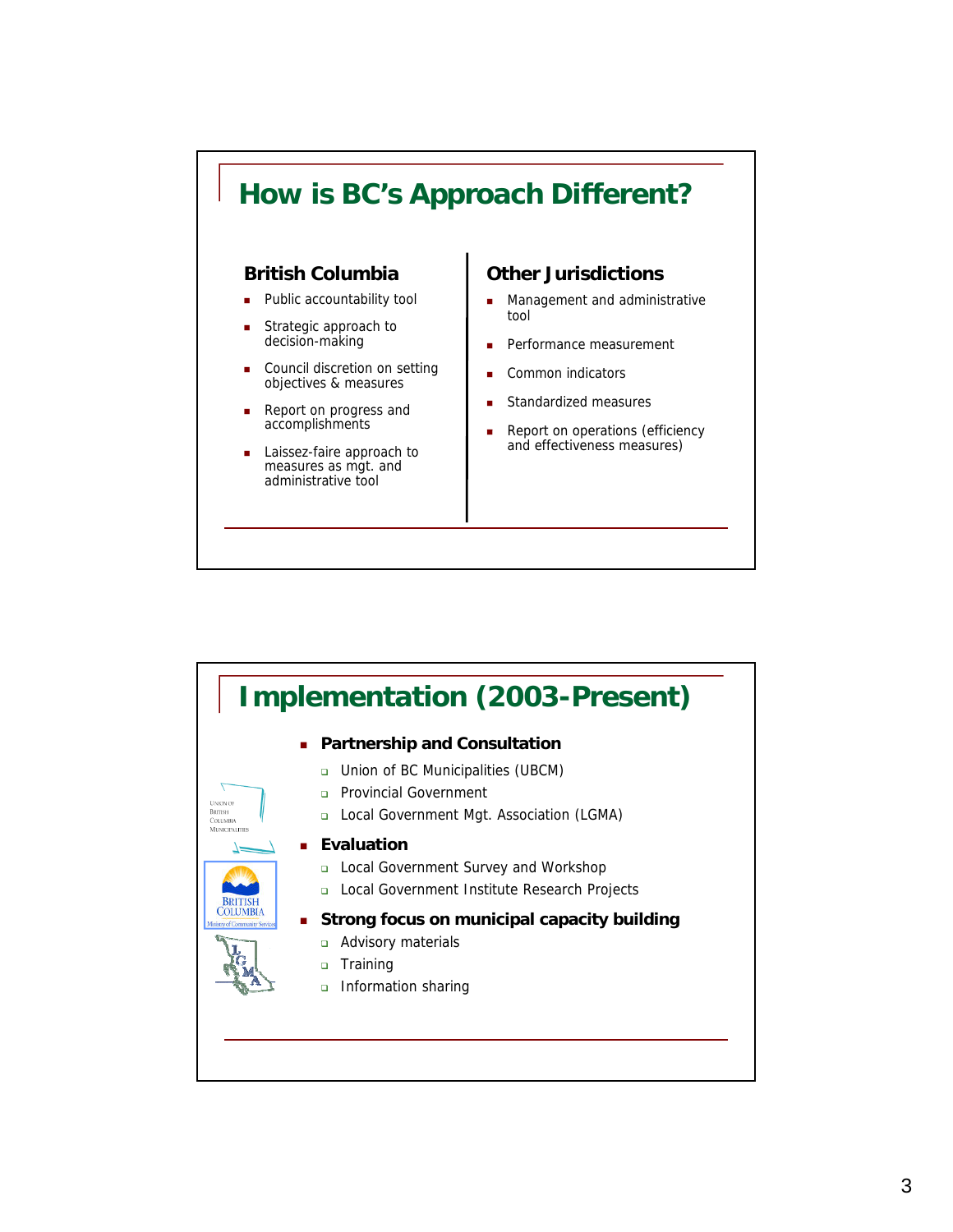

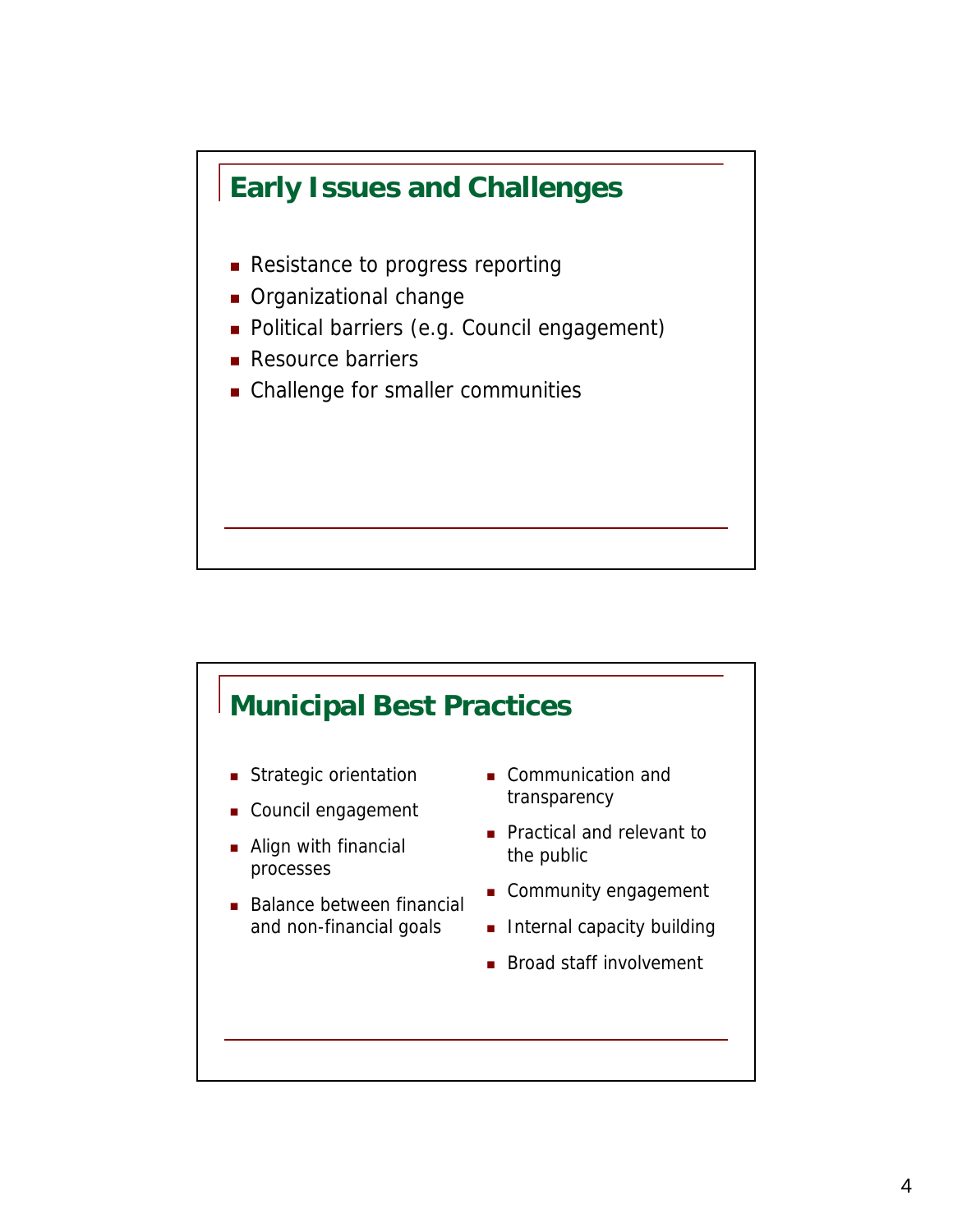